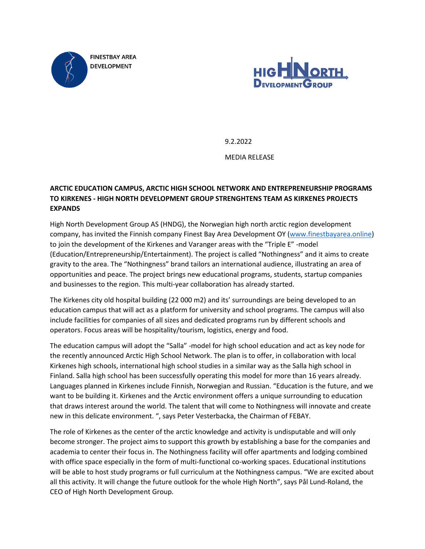



9.2.2022 MEDIA RELEASE

# **ARCTIC EDUCATION CAMPUS, ARCTIC HIGH SCHOOL NETWORK AND ENTREPRENEURSHIP PROGRAMS TO KIRKENES - HIGH NORTH DEVELOPMENT GROUP STRENGHTENS TEAM AS KIRKENES PROJECTS EXPANDS**

High North Development Group AS (HNDG), the Norwegian high north arctic region development company, has invited the Finnish company Finest Bay Area Development OY [\(www.finestbayarea.online\)](http://www.finestbayarea.online/) to join the development of the Kirkenes and Varanger areas with the "Triple E" -model (Education/Entrepreneurship/Entertainment). The project is called "Nothingness" and it aims to create gravity to the area. The "Nothingness" brand tailors an international audience, illustrating an area of opportunities and peace. The project brings new educational programs, students, startup companies and businesses to the region. This multi-year collaboration has already started.

The Kirkenes city old hospital building (22 000 m2) and its' surroundings are being developed to an education campus that will act as a platform for university and school programs. The campus will also include facilities for companies of all sizes and dedicated programs run by different schools and operators. Focus areas will be hospitality/tourism, logistics, energy and food.

The education campus will adopt the "Salla" -model for high school education and act as key node for the recently announced Arctic High School Network. The plan is to offer, in collaboration with local Kirkenes high schools, international high school studies in a similar way as the Salla high school in Finland. Salla high school has been successfully operating this model for more than 16 years already. Languages planned in Kirkenes include Finnish, Norwegian and Russian. "Education is the future, and we want to be building it. Kirkenes and the Arctic environment offers a unique surrounding to education that draws interest around the world. The talent that will come to Nothingness will innovate and create new in this delicate environment. ", says Peter Vesterbacka, the Chairman of FEBAY.

The role of Kirkenes as the center of the arctic knowledge and activity is undisputable and will only become stronger. The project aims to support this growth by establishing a base for the companies and academia to center their focus in. The Nothingness facility will offer apartments and lodging combined with office space especially in the form of multi-functional co-working spaces. Educational institutions will be able to host study programs or full curriculum at the Nothingness campus. "We are excited about all this activity. It will change the future outlook for the whole High North", says Pål Lund-Roland, the CEO of High North Development Group.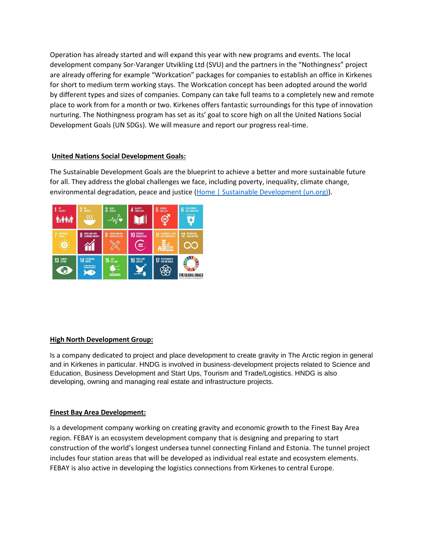Operation has already started and will expand this year with new programs and events. The local development company Sor-Varanger Utvikling Ltd (SVU) and the partners in the "Nothingness" project are already offering for example "Workcation" packages for companies to establish an office in Kirkenes for short to medium term working stays. The Workcation concept has been adopted around the world by different types and sizes of companies. Company can take full teams to a completely new and remote place to work from for a month or two. Kirkenes offers fantastic surroundings for this type of innovation nurturing. The Nothingness program has set as its' goal to score high on all the United Nations Social Development Goals (UN SDGs). We will measure and report our progress real-time.

## **United Nations Social Development Goals:**

The Sustainable Development Goals are the blueprint to achieve a better and more sustainable future for all. They address the global challenges we face, including poverty, inequality, climate change, environmental degradation, peace and justice [\(Home | Sustainable Development \(un.org\)\)](https://sdgs.un.org/).



#### **High North Development Group:**

Is a company dedicated to project and place development to create gravity in The Arctic region in general and in Kirkenes in particular. HNDG is involved in business-development projects related to Science and Education, Business Development and Start Ups, Tourism and Trade/Logistics. HNDG is also developing, owning and managing real estate and infrastructure projects.

#### **Finest Bay Area Development:**

Is a development company working on creating gravity and economic growth to the Finest Bay Area region. FEBAY is an ecosystem development company that is designing and preparing to start construction of the world's longest undersea tunnel connecting Finland and Estonia. The tunnel project includes four station areas that will be developed as individual real estate and ecosystem elements. FEBAY is also active in developing the logistics connections from Kirkenes to central Europe.